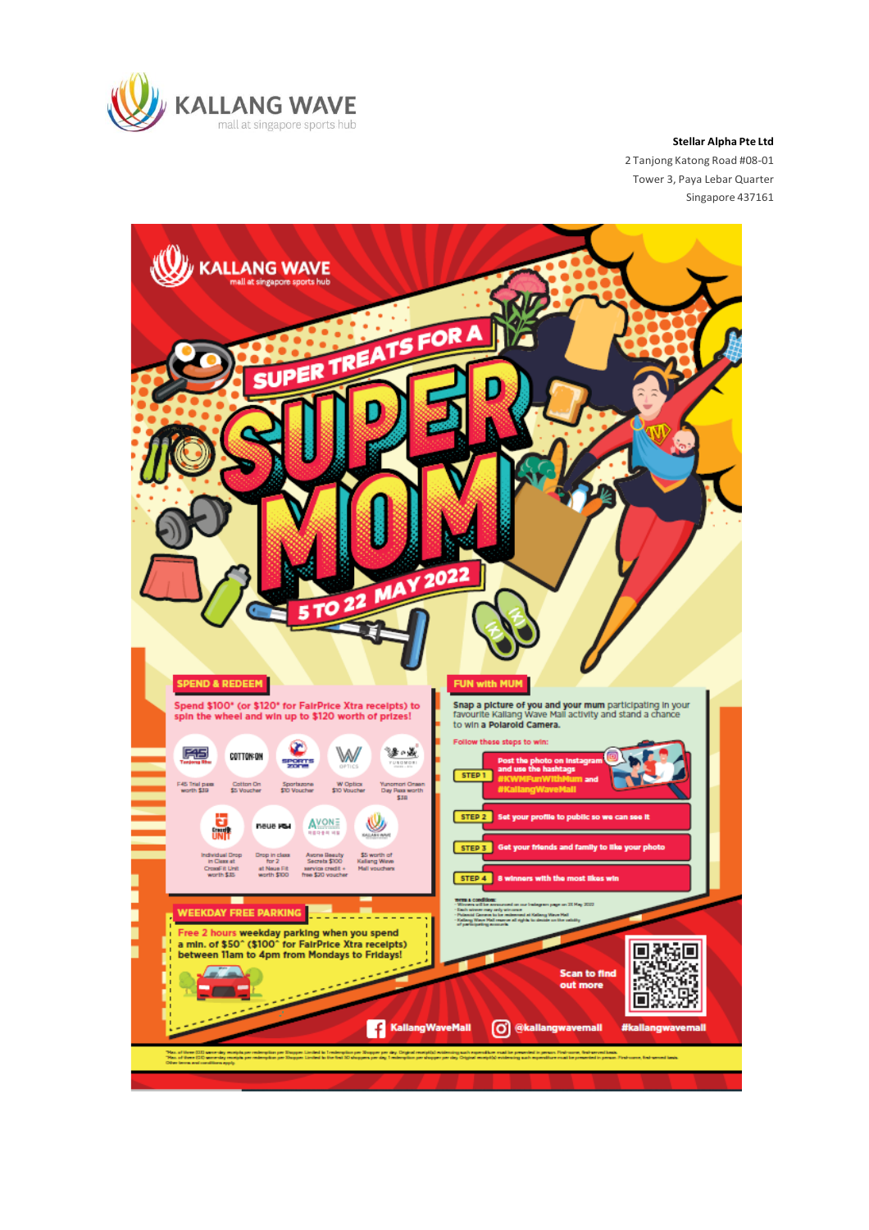

**Stellar Alpha Pte Ltd**

2 Tanjong Katong Road #08-01 Tower 3, Paya Lebar Quarter Singapore 437161

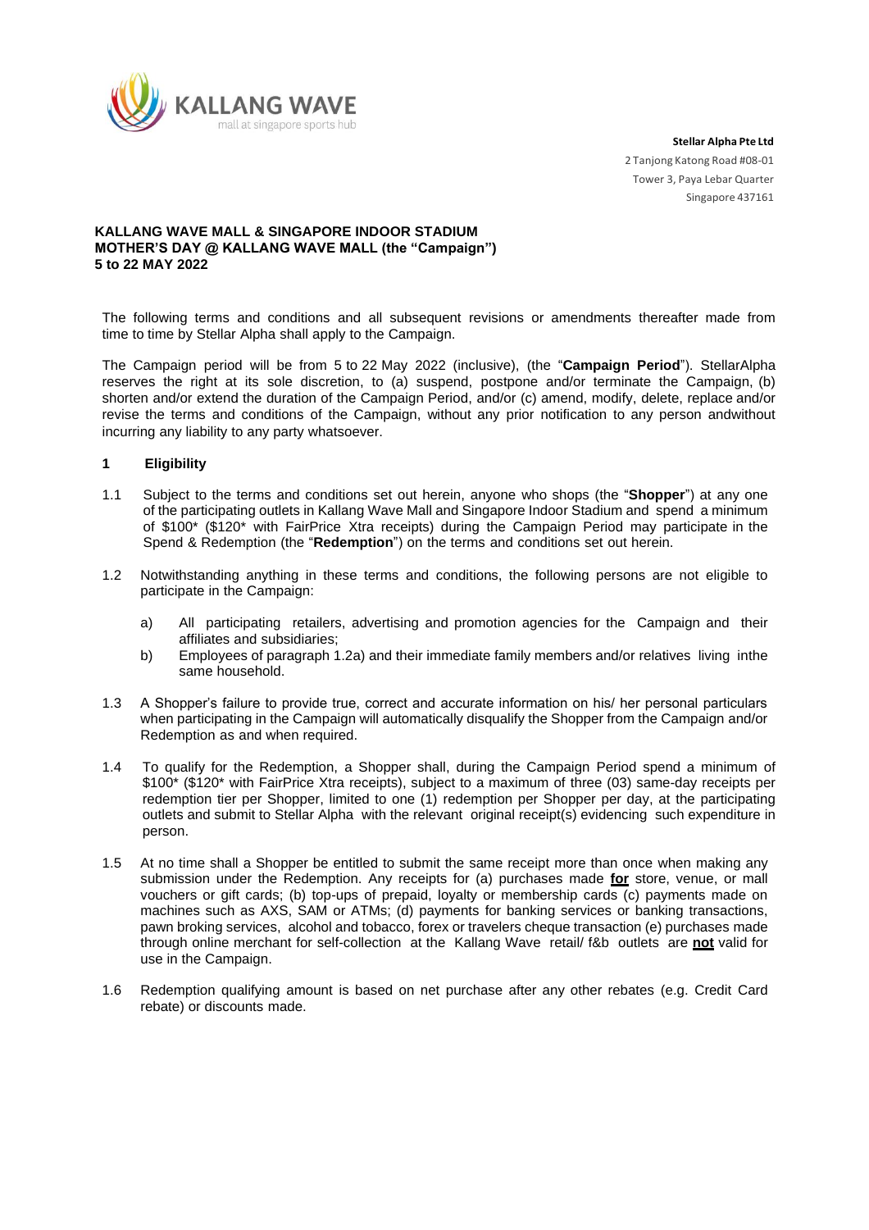

# **KALLANG WAVE MALL & SINGAPORE INDOOR STADIUM MOTHER'S DAY @ KALLANG WAVE MALL (the "Campaign") 5 to 22 MAY 2022**

The following terms and conditions and all subsequent revisions or amendments thereafter made from time to time by Stellar Alpha shall apply to the Campaign.

The Campaign period will be from 5 to 22 May 2022 (inclusive), (the "**Campaign Period**"). StellarAlpha reserves the right at its sole discretion, to (a) suspend, postpone and/or terminate the Campaign, (b) shorten and/or extend the duration of the Campaign Period, and/or (c) amend, modify, delete, replace and/or revise the terms and conditions of the Campaign, without any prior notification to any person andwithout incurring any liability to any party whatsoever.

#### **1 Eligibility**

- 1.1 Subject to the terms and conditions set out herein, anyone who shops (the "**Shopper**") at any one of the participating outlets in Kallang Wave Mall and Singapore Indoor Stadium and spend a minimum of \$100\* (\$120\* with FairPrice Xtra receipts) during the Campaign Period may participate in the Spend & Redemption (the "**Redemption**") on the terms and conditions set out herein.
- 1.2 Notwithstanding anything in these terms and conditions, the following persons are not eligible to participate in the Campaign:
	- a) All participating retailers, advertising and promotion agencies for the Campaign and their affiliates and subsidiaries;
	- b) Employees of paragraph 1.2a) and their immediate family members and/or relatives living inthe same household.
- 1.3 A Shopper's failure to provide true, correct and accurate information on his/ her personal particulars when participating in the Campaign will automatically disqualify the Shopper from the Campaign and/or Redemption as and when required.
- 1.4 To qualify for the Redemption, a Shopper shall, during the Campaign Period spend a minimum of \$100\* (\$120\* with FairPrice Xtra receipts), subject to a maximum of three (03) same-day receipts per redemption tier per Shopper, limited to one (1) redemption per Shopper per day, at the participating outlets and submit to Stellar Alpha with the relevant original receipt(s) evidencing such expenditure in person.
- 1.5 At no time shall a Shopper be entitled to submit the same receipt more than once when making any submission under the Redemption. Any receipts for (a) purchases made **for** store, venue, or mall vouchers or gift cards; (b) top-ups of prepaid, loyalty or membership cards (c) payments made on machines such as AXS, SAM or ATMs; (d) payments for banking services or banking transactions, pawn broking services, alcohol and tobacco, forex or travelers cheque transaction (e) purchases made through online merchant for self-collection at the Kallang Wave retail/ f&b outlets are **not** valid for use in the Campaign.
- 1.6 Redemption qualifying amount is based on net purchase after any other rebates (e.g. Credit Card rebate) or discounts made.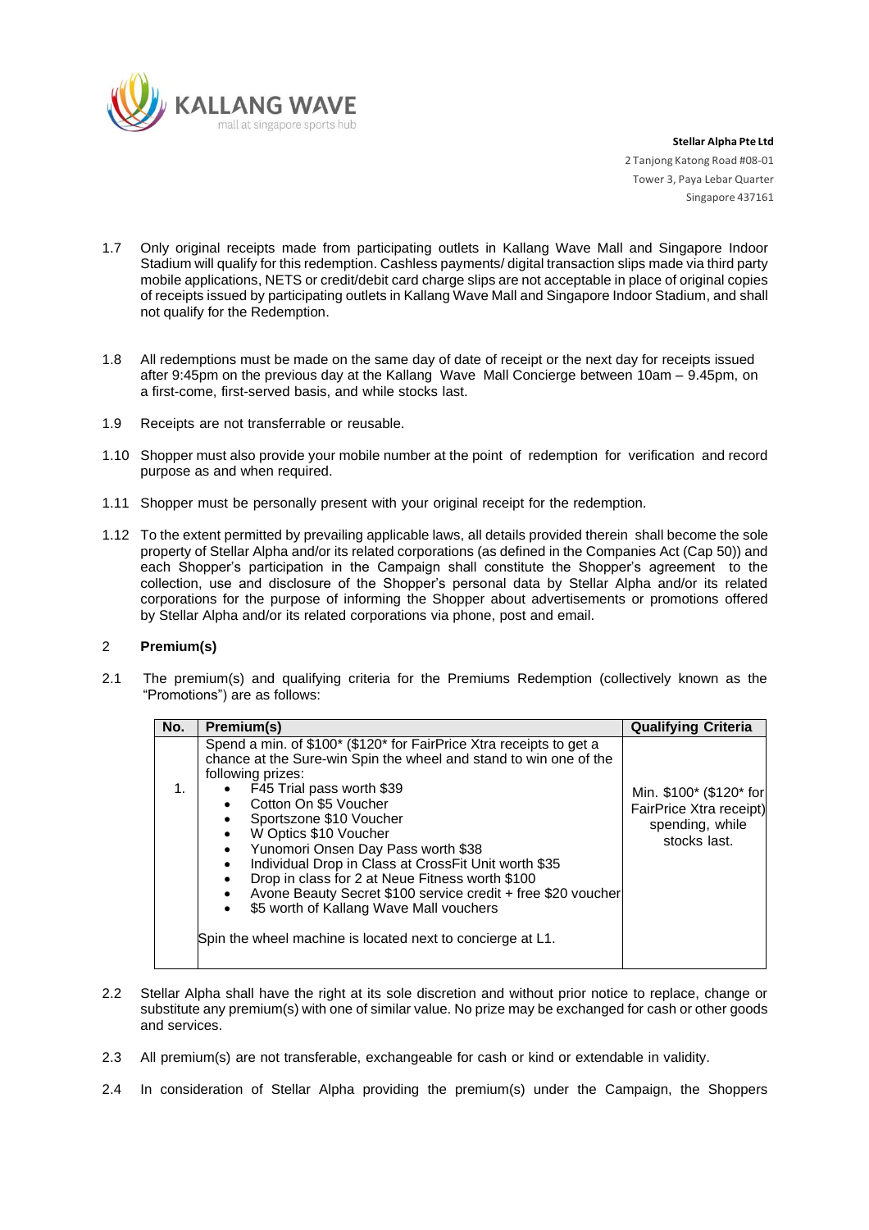

- 1.7 Only original receipts made from participating outlets in Kallang Wave Mall and Singapore Indoor Stadium will qualify for this redemption. Cashless payments/ digital transaction slips made via third party mobile applications, NETS or credit/debit card charge slips are not acceptable in place of original copies of receipts issued by participating outlets in Kallang Wave Mall and Singapore Indoor Stadium, and shall not qualify for the Redemption.
- 1.8 All redemptions must be made on the same day of date of receipt or the next day for receipts issued after 9:45pm on the previous day at the Kallang Wave Mall Concierge between 10am – 9.45pm, on a first-come, first-served basis, and while stocks last.
- 1.9 Receipts are not transferrable or reusable.
- 1.10 Shopper must also provide your mobile number at the point of redemption for verification and record purpose as and when required.
- 1.11 Shopper must be personally present with your original receipt for the redemption.
- 1.12 To the extent permitted by prevailing applicable laws, all details provided therein shall become the sole property of Stellar Alpha and/or its related corporations (as defined in the Companies Act (Cap 50)) and each Shopper's participation in the Campaign shall constitute the Shopper's agreement to the collection, use and disclosure of the Shopper's personal data by Stellar Alpha and/or its related corporations for the purpose of informing the Shopper about advertisements or promotions offered by Stellar Alpha and/or its related corporations via phone, post and email.

# 2 **Premium(s)**

2.1 The premium(s) and qualifying criteria for the Premiums Redemption (collectively known as the "Promotions") are as follows:

| No. | Premium(s)                                                                                                                                                                                                                                                                                                                                                                                                                                                                                                                                                                                                                                                      | <b>Qualifying Criteria</b>                                                            |
|-----|-----------------------------------------------------------------------------------------------------------------------------------------------------------------------------------------------------------------------------------------------------------------------------------------------------------------------------------------------------------------------------------------------------------------------------------------------------------------------------------------------------------------------------------------------------------------------------------------------------------------------------------------------------------------|---------------------------------------------------------------------------------------|
| 1.  | Spend a min. of \$100* (\$120* for FairPrice Xtra receipts to get a<br>chance at the Sure-win Spin the wheel and stand to win one of the<br>following prizes:<br>$\bullet$ F45 Trial pass worth \$39<br>Cotton On \$5 Voucher<br>Sportszone \$10 Voucher<br>W Optics \$10 Voucher<br>$\bullet$<br>Yunomori Onsen Day Pass worth \$38<br>$\bullet$<br>Individual Drop in Class at CrossFit Unit worth \$35<br>$\bullet$<br>Drop in class for 2 at Neue Fitness worth \$100<br>Avone Beauty Secret \$100 service credit + free \$20 voucher<br>\$5 worth of Kallang Wave Mall vouchers<br>$\bullet$<br>Spin the wheel machine is located next to concierge at L1. | Min. \$100* (\$120* for<br>FairPrice Xtra receipt)<br>spending, while<br>stocks last. |

- 2.2 Stellar Alpha shall have the right at its sole discretion and without prior notice to replace, change or substitute any premium(s) with one of similar value. No prize may be exchanged for cash or other goods and services.
- 2.3 All premium(s) are not transferable, exchangeable for cash or kind or extendable in validity.
- 2.4 In consideration of Stellar Alpha providing the premium(s) under the Campaign, the Shoppers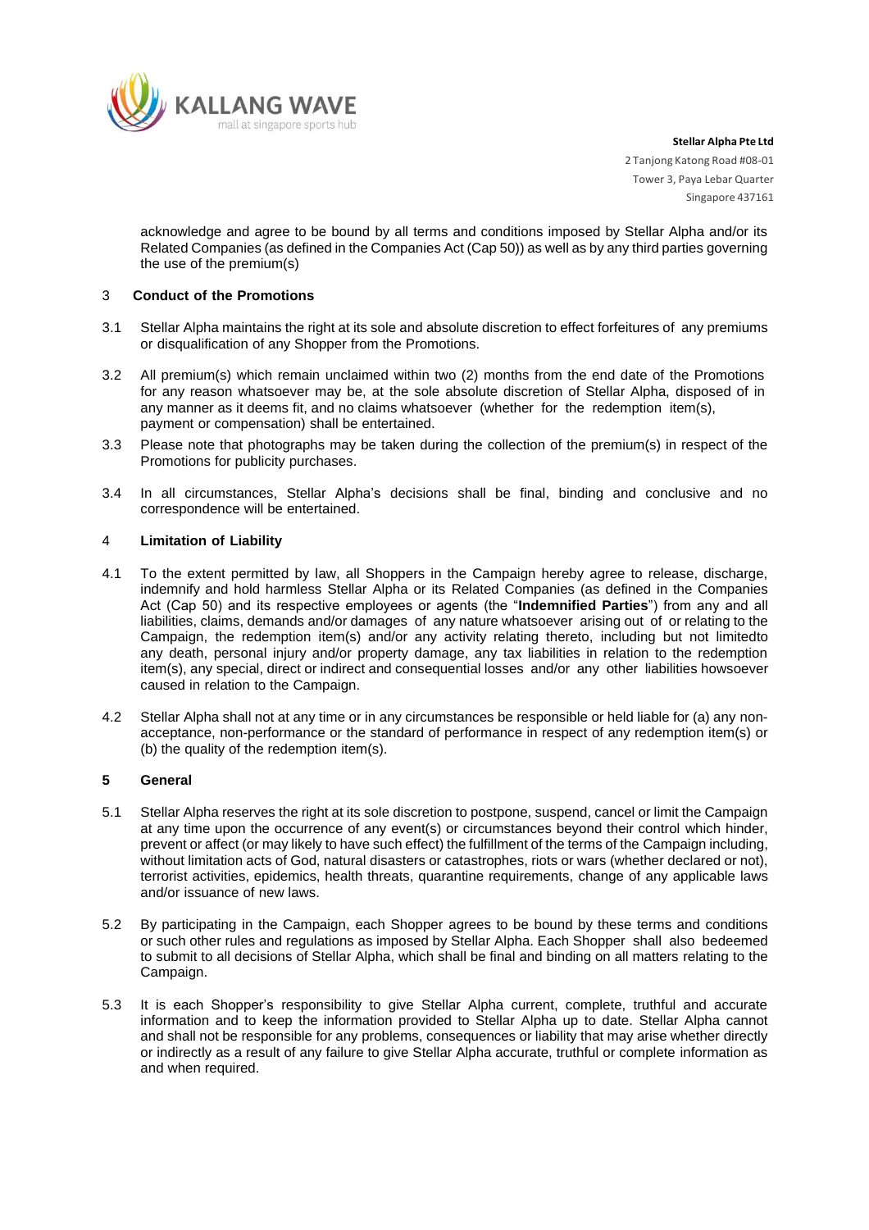

acknowledge and agree to be bound by all terms and conditions imposed by Stellar Alpha and/or its Related Companies (as defined in the Companies Act (Cap 50)) as well as by any third parties governing the use of the premium(s)

### 3 **Conduct of the Promotions**

- 3.1 Stellar Alpha maintains the right at its sole and absolute discretion to effect forfeitures of any premiums or disqualification of any Shopper from the Promotions.
- 3.2 All premium(s) which remain unclaimed within two (2) months from the end date of the Promotions for any reason whatsoever may be, at the sole absolute discretion of Stellar Alpha, disposed of in any manner as it deems fit, and no claims whatsoever (whether for the redemption item(s), payment or compensation) shall be entertained.
- 3.3 Please note that photographs may be taken during the collection of the premium(s) in respect of the Promotions for publicity purchases.
- 3.4 In all circumstances, Stellar Alpha's decisions shall be final, binding and conclusive and no correspondence will be entertained.

### 4 **Limitation of Liability**

- 4.1 To the extent permitted by law, all Shoppers in the Campaign hereby agree to release, discharge, indemnify and hold harmless Stellar Alpha or its Related Companies (as defined in the Companies Act (Cap 50) and its respective employees or agents (the "**Indemnified Parties**") from any and all liabilities, claims, demands and/or damages of any nature whatsoever arising out of or relating to the Campaign, the redemption item(s) and/or any activity relating thereto, including but not limitedto any death, personal injury and/or property damage, any tax liabilities in relation to the redemption item(s), any special, direct or indirect and consequential losses and/or any other liabilities howsoever caused in relation to the Campaign.
- 4.2 Stellar Alpha shall not at any time or in any circumstances be responsible or held liable for (a) any nonacceptance, non-performance or the standard of performance in respect of any redemption item(s) or (b) the quality of the redemption item(s).

# **5 General**

- 5.1 Stellar Alpha reserves the right at its sole discretion to postpone, suspend, cancel or limit the Campaign at any time upon the occurrence of any event(s) or circumstances beyond their control which hinder, prevent or affect (or may likely to have such effect) the fulfillment of the terms of the Campaign including, without limitation acts of God, natural disasters or catastrophes, riots or wars (whether declared or not), terrorist activities, epidemics, health threats, quarantine requirements, change of any applicable laws and/or issuance of new laws.
- 5.2 By participating in the Campaign, each Shopper agrees to be bound by these terms and conditions or such other rules and regulations as imposed by Stellar Alpha. Each Shopper shall also bedeemed to submit to all decisions of Stellar Alpha, which shall be final and binding on all matters relating to the Campaign.
- 5.3 It is each Shopper's responsibility to give Stellar Alpha current, complete, truthful and accurate information and to keep the information provided to Stellar Alpha up to date. Stellar Alpha cannot and shall not be responsible for any problems, consequences or liability that may arise whether directly or indirectly as a result of any failure to give Stellar Alpha accurate, truthful or complete information as and when required.